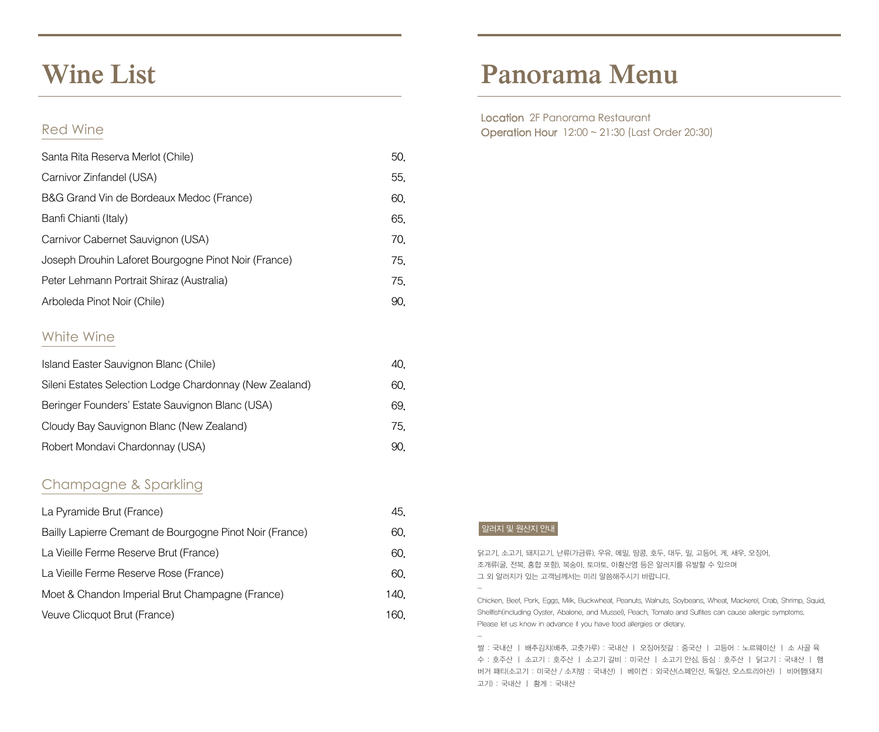### **Wine List**

### Red Wine

| Santa Rita Reserva Merlot (Chile)                    | 50, |
|------------------------------------------------------|-----|
| Carnivor Zinfandel (USA)                             | 55, |
| B&G Grand Vin de Bordeaux Medoc (France)             | 60, |
| Banfi Chianti (Italy)                                | 65, |
| Carnivor Cabernet Sauvignon (USA)                    | 70, |
| Joseph Drouhin Laforet Bourgogne Pinot Noir (France) | 75. |
| Peter Lehmann Portrait Shiraz (Australia)            | 75. |
| Arboleda Pinot Noir (Chile)                          | 90. |

### White Wine

| Island Easter Sauvignon Blanc (Chile)                   | 40. |  |
|---------------------------------------------------------|-----|--|
| Sileni Estates Selection Lodge Chardonnay (New Zealand) | 60. |  |
| Beringer Founders' Estate Sauvignon Blanc (USA)         | 69. |  |
| Cloudy Bay Sauvignon Blanc (New Zealand)                | 75. |  |
| Robert Mondavi Chardonnay (USA)                         | 90. |  |

### Champagne & Sparkling

| La Pyramide Brut (France)                                | 45.  |
|----------------------------------------------------------|------|
| Bailly Lapierre Cremant de Bourgogne Pinot Noir (France) | 60.  |
| La Vieille Ferme Reserve Brut (France)                   | 60.  |
| La Vieille Ferme Reserve Rose (France)                   | 60.  |
| Moet & Chandon Imperial Brut Champagne (France)          | 140. |
| Veuve Clicquot Brut (France)                             | 160. |

# **Panorama Menu**

Location 2F Panorama Restaurant Operation Hour 12:00 ~ 21:30 (Last Order 20:30)

#### 알러지 및 원산지 안내

-

-

닭고기, 소고기, 돼지고기, 난류(가금류), 우유, 메밀, 땅콩, 호두, 대두, 밀, 고등어, 게, 새우, 오징어, 조개류(굴, 전복, 홍합 포함), 복숭아, 토마토, 아황산염 등은 알러지를 유발할 수 있으며 그 외 알러지가 있는 고객님께서는 미리 말씀해주시기 바랍니다.

Chicken, Beef, Pork, Eggs, Milk, Buckwheat, Peanuts, Walnuts, Soybeans, Wheat, Mackerel, Crab, Shrimp, Squid, Shellfish(including Oyster, Abalone, and Mussel), Peach, Tomato and Sulfites can cause allergic symptoms. Please let us know in advance if you have food allergies or dietary.

쌀 : 국내산 ㅣ 배추김치(배추, 고춧가루) : 국내산 ㅣ 오징어젓갈 : 중국산 ㅣ 고등어 : 노르웨이산 ㅣ 소 사골 육 수 : 호주산 ㅣ 소고기 : 호주산 ㅣ 소고기 갈비 : 미국산 ㅣ 소고기 안심, 등심 : 호주산 ㅣ 닭고기 : 국내산 ㅣ 햄 버거 패티(소고기 : 미국산 / 소지방 : 국내산) ㅣ 베이컨 : 외국산(스페인산, 독일산, 오스트리아산) ㅣ 비어햄(돼지 고기) : 국내산 ㅣ 황게 : 국내산